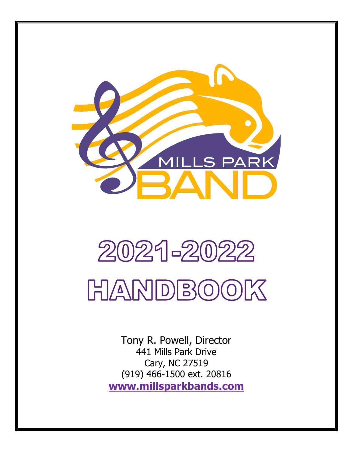

# 2021-2022 HANDBOOK

Tony R. Powell, Director 441 Mills Park Drive Cary, NC 27519 (919) 466-1500 ext. 20816 **[www.millsparkbands.com](http://www.millsparkbands.com/)**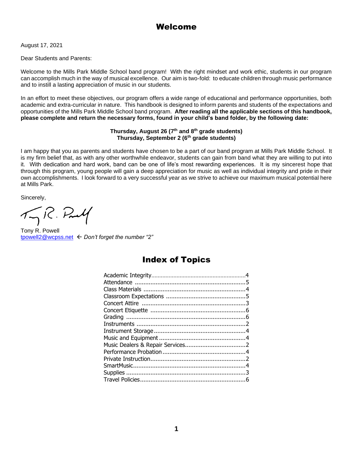# Welcome

August 17, 2021

Dear Students and Parents:

Welcome to the Mills Park Middle School band program! With the right mindset and work ethic, students in our program can accomplish much in the way of musical excellence. Our aim is two-fold: to educate children through music performance and to instill a lasting appreciation of music in our students.

In an effort to meet these objectives, our program offers a wide range of educational and performance opportunities, both academic and extra-curricular in nature. This handbook is designed to inform parents and students of the expectations and opportunities of the Mills Park Middle School band program. **After reading all the applicable sections of this handbook, please complete and return the necessary forms, found in your child's band folder, by the following date:**

#### **Thursday, August 26 (7th and 8th grade students) Thursday, September 2 (6th grade students)**

I am happy that you as parents and students have chosen to be a part of our band program at Mills Park Middle School. It is my firm belief that, as with any other worthwhile endeavor, students can gain from band what they are willing to put into it. With dedication and hard work, band can be one of life's most rewarding experiences. It is my sincerest hope that through this program, young people will gain a deep appreciation for music as well as individual integrity and pride in their own accomplishments. I look forward to a very successful year as we strive to achieve our maximum musical potential here at Mills Park.

Sincerely,

 $\pi$ R. Prulf

Tony R. Powell [tpowell2@wcpss.net](mailto:tpowell2@wcpss.net)  *Don't forget the number "2"*

# Index of Topics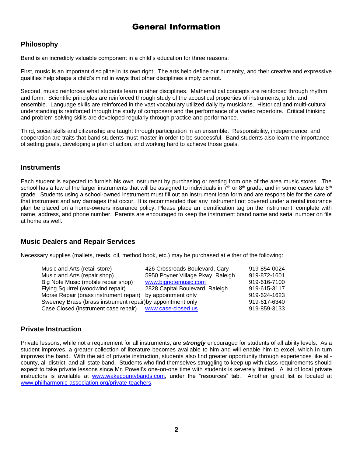# General Information

## **Philosophy**

Band is an incredibly valuable component in a child's education for three reasons:

First, music is an important discipline in its own right. The arts help define our humanity, and their creative and expressive qualities help shape a child's mind in ways that other disciplines simply cannot.

Second, music reinforces what students learn in other disciplines. Mathematical concepts are reinforced through rhythm and form. Scientific principles are reinforced through study of the acoustical properties of instruments, pitch, and ensemble. Language skills are reinforced in the vast vocabulary utilized daily by musicians. Historical and multi-cultural understanding is reinforced through the study of composers and the performance of a varied repertoire. Critical thinking and problem-solving skills are developed regularly through practice and performance.

Third, social skills and citizenship are taught through participation in an ensemble. Responsibility, independence, and cooperation are traits that band students must master in order to be successful. Band students also learn the importance of setting goals, developing a plan of action, and working hard to achieve those goals.

#### **Instruments**

Each student is expected to furnish his own instrument by purchasing or renting from one of the area music stores. The school has a few of the larger instruments that will be assigned to individuals in  $7<sup>th</sup>$  or  $8<sup>th</sup>$  grade, and in some cases late  $6<sup>th</sup>$ grade. Students using a school-owned instrument must fill out an instrument loan form and are responsible for the care of that instrument and any damages that occur. It is recommended that any instrument not covered under a rental insurance plan be placed on a home-owners insurance policy. Please place an identification tag on the instrument, complete with name, address, and phone number. Parents are encouraged to keep the instrument brand name and serial number on file at home as well.

## **Music Dealers and Repair Services**

Necessary supplies (mallets, reeds, oil, method book, etc.) may be purchased at either of the following:

| Music and Arts (retail store)<br>919-854-0024<br>426 Crossroads Boulevard, Cary      |  |
|--------------------------------------------------------------------------------------|--|
| Music and Arts (repair shop)<br>5950 Poyner Village Pkwy, Raleigh<br>919-872-1601    |  |
| Big Note Music (mobile repair shop)<br>www.bignotemusic.com<br>919-616-7100          |  |
| 919-615-3117<br>Flying Squirrel (woodwind repair)<br>2828 Capital Boulevard, Raleigh |  |
| Morse Repair (brass instrument repair) by appointment only<br>919-624-1623           |  |
| Sweeney Brass (brass instrument repair) by appointment only<br>919-617-6340          |  |
| Case Closed (instrument case repair) www.case-closed.us<br>919-859-3133              |  |

## **Private Instruction**

Private lessons, while not a requirement for all instruments, are *strongly* encouraged for students of all ability levels. As a student improves, a greater collection of literature becomes available to him and will enable him to excel, which in turn improves the band. With the aid of private instruction, students also find greater opportunity through experiences like allcounty, all-district, and all-state band. Students who find themselves struggling to keep up with class requirements should expect to take private lessons since Mr. Powell's one-on-one time with students is severely limited. A list of local private instructors is available at [www.wakecountybands.com,](http://wakecountybands.com/) under the "resources" tab. Another great list is located at [www.philharmonic-association.org/private-teachers.](http://www.philharmonic-association.org/private-teachers)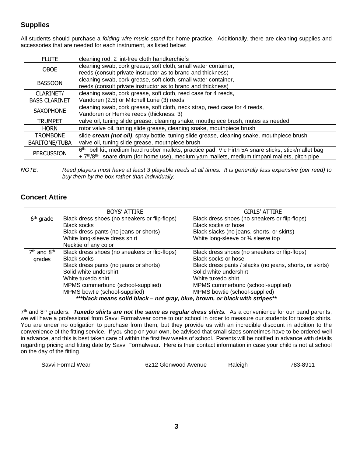# **Supplies**

All students should purchase a *folding wire music stand* for home practice. Additionally, there are cleaning supplies and accessories that are needed for each instrument, as listed below:

| <b>FLUTE</b>         | cleaning rod, 2 lint-free cloth handkerchiefs                                                                           |  |
|----------------------|-------------------------------------------------------------------------------------------------------------------------|--|
| <b>OBOE</b>          | cleaning swab, cork grease, soft cloth, small water container,                                                          |  |
|                      | reeds (consult private instructor as to brand and thickness)                                                            |  |
| <b>BASSOON</b>       | cleaning swab, cork grease, soft cloth, small water container,                                                          |  |
|                      | reeds (consult private instructor as to brand and thickness)                                                            |  |
| CLARINET/            | cleaning swab, cork grease, soft cloth, reed case for 4 reeds,                                                          |  |
| <b>BASS CLARINET</b> | Vandoren (2.5) or Mitchell Lurie (3) reeds                                                                              |  |
|                      | cleaning swab, cork grease, soft cloth, neck strap, reed case for 4 reeds,                                              |  |
| <b>SAXOPHONE</b>     | Vandoren or Hemke reeds (thickness: 3)                                                                                  |  |
| <b>TRUMPET</b>       | valve oil, tuning slide grease, cleaning snake, mouthpiece brush, mutes as needed                                       |  |
| <b>HORN</b>          | rotor valve oil, tuning slide grease, cleaning snake, mouthpiece brush                                                  |  |
| <b>TROMBONE</b>      | slide cream (not oil), spray bottle, tuning slide grease, cleaning snake, mouthpiece brush                              |  |
| <b>BARITONE/TUBA</b> | valve oil, tuning slide grease, mouthpiece brush                                                                        |  |
| <b>PERCUSSION</b>    | 6 <sup>th:</sup> bell kit, medium hard rubber mallets, practice pad, Vic Firth 5A snare sticks, stick/mallet bag        |  |
|                      | + 7 <sup>th</sup> /8 <sup>th</sup> : snare drum (for home use), medium yarn mallets, medium timpani mallets, pitch pipe |  |
|                      |                                                                                                                         |  |

*NOTE: Reed players must have at least 3 playable reeds at all times. It is generally less expensive (per reed) to buy them by the box rather than individually.*

## **Concert Attire**

| <b>BOYS' ATTIRE</b>                           | <b>GIRLS' ATTIRE</b>                                                                                           |
|-----------------------------------------------|----------------------------------------------------------------------------------------------------------------|
| Black dress shoes (no sneakers or flip-flops) | Black dress shoes (no sneakers or flip-flops)                                                                  |
| <b>Black socks</b>                            | Black socks or hose                                                                                            |
| Black dress pants (no jeans or shorts)        | Black slacks (no jeans, shorts, or skirts)                                                                     |
| White long-sleeve dress shirt                 | White long-sleeve or 3⁄4 sleeve top                                                                            |
| Necktie of any color                          |                                                                                                                |
| Black dress shoes (no sneakers or flip-flops) | Black dress shoes (no sneakers or flip-flops)                                                                  |
| <b>Black socks</b>                            | Black socks or hose                                                                                            |
| Black dress pants (no jeans or shorts)        | Black dress pants / slacks (no jeans, shorts, or skirts)                                                       |
| Solid white undershirt                        | Solid white undershirt                                                                                         |
| White tuxedo shirt                            | White tuxedo shirt                                                                                             |
| MPMS cummerbund (school-supplied)             | MPMS cummerbund (school-supplied)                                                                              |
| MPMS bowtie (school-supplied)                 | MPMS bowtie (school-supplied)                                                                                  |
|                                               | **** Last, program and the Literature and computational transportant and the algorithment of the service of th |

*\*\*\*black means solid black – not gray, blue, brown, or black with stripes\*\**

7<sup>th</sup> and 8<sup>th</sup> graders: Tuxedo shirts are not the same as regular dress shirts. As a convenience for our band parents, we will have a professional from Savvi Formalwear come to our school in order to measure our students for tuxedo shirts. You are under no obligation to purchase from them, but they provide us with an incredible discount in addition to the convenience of the fitting service. If you shop on your own, be advised that small sizes sometimes have to be ordered well in advance, and this is best taken care of within the first few weeks of school. Parents will be notified in advance with details regarding pricing and fitting date by Savvi Formalwear. Here is their contact information in case your child is not at school on the day of the fitting.

Savvi Formal Wear 6212 Glenwood Avenue Raleigh 783-8911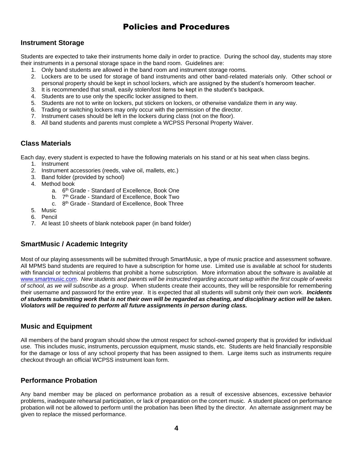# Policies and Procedures

#### **Instrument Storage**

Students are expected to take their instruments home daily in order to practice. During the school day, students may store their instruments in a personal storage space in the band room. Guidelines are:

- 1. Only band students are allowed in the band room and instrument storage rooms.
- 2. Lockers are to be used for storage of band instruments and other band-related materials only. Other school or personal property should be kept in school lockers, which are assigned by the student's homeroom teacher.
- 3. It is recommended that small, easily stolen/lost items be kept in the student's backpack.
- 4. Students are to use only the specific locker assigned to them.
- 5. Students are not to write on lockers, put stickers on lockers, or otherwise vandalize them in any way.
- 6. Trading or switching lockers may only occur with the permission of the director.
- 7. Instrument cases should be left in the lockers during class (not on the floor).
- 8. All band students and parents must complete a WCPSS Personal Property Waiver.

## **Class Materials**

Each day, every student is expected to have the following materials on his stand or at his seat when class begins.

- 1. Instrument
- 2. Instrument accessories (reeds, valve oil, mallets, etc.)
- 3. Band folder (provided by school)
- 4. Method book
	- a. 6<sup>th</sup> Grade Standard of Excellence, Book One
	- b. 7<sup>th</sup> Grade Standard of Excellence, Book Two
	- c. 8<sup>th</sup> Grade Standard of Excellence, Book Three
- 5. Music
- 6. Pencil
- 7. At least 10 sheets of blank notebook paper (in band folder)

## **SmartMusic / Academic Integrity**

Most of our playing assessments will be submitted through SmartMusic, a type of music practice and assessment software. All MPMS band students are required to have a subscription for home use. Limited use is available at school for students with financial or technical problems that prohibit a home subscription. More information about the software is available at [www.smartmusic.com.](http://www.smartmusic.com/) *New students and parents will be instructed regarding account setup within the first couple of weeks of school, as we will subscribe as a group*. When students create their accounts, they will be responsible for remembering their username and password for the entire year. It is expected that all students will submit only their own work. *Incidents of students submitting work that is not their own will be regarded as cheating, and disciplinary action will be taken. Violators will be required to perform all future assignments in person during class.*

#### **Music and Equipment**

All members of the band program should show the utmost respect for school-owned property that is provided for individual use. This includes music, instruments, percussion equipment, music stands, etc. Students are held financially responsible for the damage or loss of any school property that has been assigned to them. Large items such as instruments require checkout through an official WCPSS instrument loan form.

## **Performance Probation**

Any band member may be placed on performance probation as a result of excessive absences, excessive behavior problems, inadequate rehearsal participation, or lack of preparation on the concert music. A student placed on performance probation will not be allowed to perform until the probation has been lifted by the director. An alternate assignment may be given to replace the missed performance.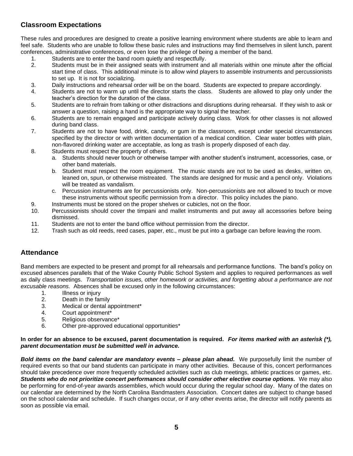## **Classroom Expectations**

These rules and procedures are designed to create a positive learning environment where students are able to learn and feel safe. Students who are unable to follow these basic rules and instructions may find themselves in silent lunch, parent conferences, administrative conferences, or even lose the privilege of being a member of the band.

- 1. Students are to enter the band room quietly and respectfully.
- 2. Students must be in their assigned seats with instrument and all materials within one minute after the official start time of class. This additional minute is to allow wind players to assemble instruments and percussionists to set up. It is not for socializing.
- 3. Daily instructions and rehearsal order will be on the board. Students are expected to prepare accordingly.
- 4. Students are not to warm up until the director starts the class. Students are allowed to play only under the teacher's direction for the duration of the class.
- 5. Students are to refrain from talking or other distractions and disruptions during rehearsal. If they wish to ask or answer a question, raising a hand is the appropriate way to signal the teacher.
- 6. Students are to remain engaged and participate actively during class. Work for other classes is not allowed during band class.
- 7. Students are not to have food, drink, candy, or gum in the classroom, except under special circumstances specified by the director or with written documentation of a medical condition. Clear water bottles with plain, non-flavored drinking water are acceptable, as long as trash is properly disposed of each day.
- 8. Students must respect the property of others.
	- a. Students should never touch or otherwise tamper with another student's instrument, accessories, case, or other band materials.
	- b. Student must respect the room equipment. The music stands are not to be used as desks, written on, leaned on, spun, or otherwise mistreated. The stands are designed for music and a pencil only. Violations will be treated as vandalism.
	- c. Percussion instruments are for percussionists only. Non-percussionists are not allowed to touch or move these instruments without specific permission from a director. This policy includes the piano.
- 9. Instruments must be stored on the proper shelves or cubicles, not on the floor.
- 10. Percussionists should cover the timpani and mallet instruments and put away all accessories before being dismissed.
- 11. Students are not to enter the band office without permission from the director.
- 12. Trash such as old reeds, reed cases, paper, etc., must be put into a garbage can before leaving the room.

## **Attendance**

Band members are expected to be present and prompt for all rehearsals and performance functions. The band's policy on excused absences parallels that of the Wake County Public School System and applies to required performances as well as daily class meetings. *Transportation issues, other homework or activities, and forgetting about a performance are not excusable reasons.* Absences shall be excused only in the following circumstances:

- 1. Illness or injury
- 2. Death in the family
- 3. Medical or dental appointment\*
- 4. Court appointment\*
- 5. Religious observance\*
- 6. Other pre-approved educational opportunities\*

#### **In order for an absence to be excused, parent documentation is required.** *For items marked with an asterisk (\*), parent documentation must be submitted well in advance.*

*Bold items on the band calendar are mandatory events – please plan ahead.* We purposefully limit the number of required events so that our band students can participate in many other activities. Because of this, concert performances should take precedence over more frequently scheduled activities such as club meetings, athletic practices or games, etc. *Students who do not prioritize concert performances should consider other elective course options.* We may also be performing for end-of-year awards assemblies, which would occur during the regular school day. Many of the dates on our calendar are determined by the North Carolina Bandmasters Association. Concert dates are subject to change based on the school calendar and schedule. If such changes occur, or if any other events arise, the director will notify parents as soon as possible via email.